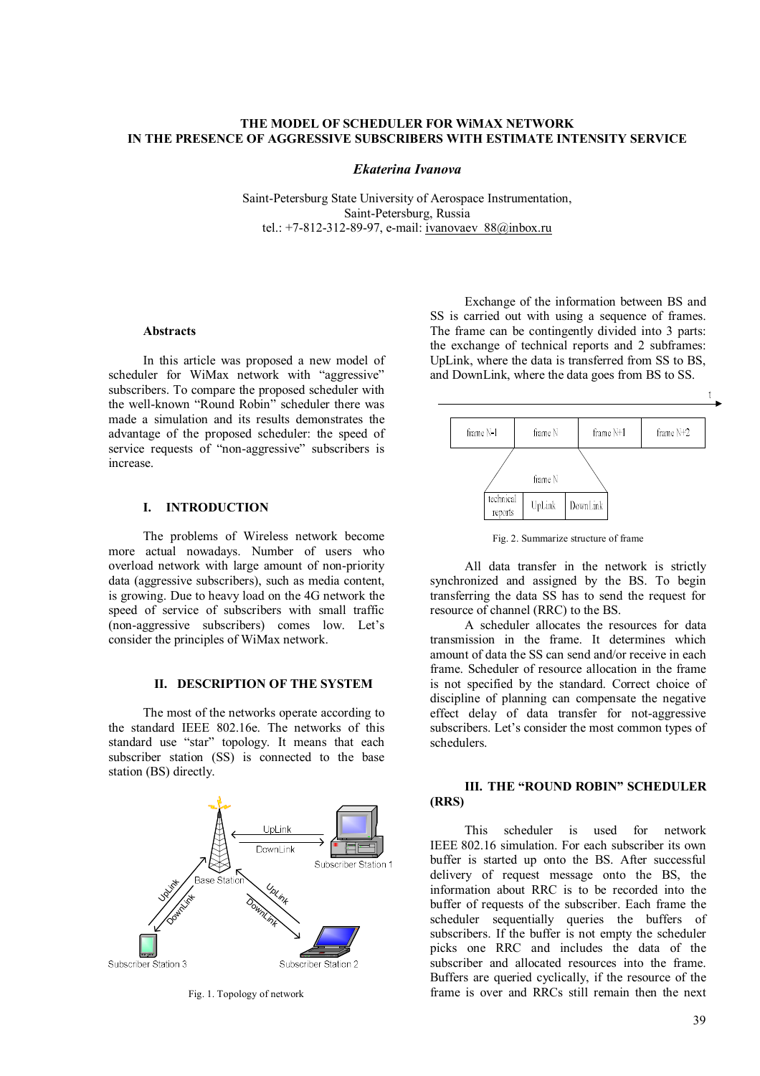## **THE MODEL OF SCHEDULER FOR WiMAX NETWORK IN THE PRESENCE OF AGGRESSIVE SUBSCRIBERS WITH ESTIMATE INTENSITY SERVICE**

#### *Ekaterina Ivanova*

Saint-Petersburg State University of Aerospace Instrumentation, Saint-Petersburg, Russia tel.: +7-812-312-89-97, e-mail: ivanovaev  $88@i>x$ ru

### **Abstracts**

In this article was proposed a new model of scheduler for WiMax network with "aggressive" subscribers. To compare the proposed scheduler with the well-known "Round Robin" scheduler there was made a simulation and its results demonstrates the advantage of the proposed scheduler: the speed of service requests of "non-aggressive" subscribers is increase.

#### **I. INTRODUCTION**

The problems of Wireless network become more actual nowadays. Number of users who overload network with large amount of non-priority data (aggressive subscribers), such as media content, is growing. Due to heavy load on the 4G network the speed of service of subscribers with small traffic (non-aggressive subscribers) comes low. Let's consider the principles of WiMax network.

### **II. DESCRIPTION OF THE SYSTEM**

The most of the networks operate according to the standard IEEE 802.16e. The networks of this standard use "star" topology. It means that each subscriber station (SS) is connected to the base station (BS) directly.



Fig. 1. Topology of network

Exchange of the information between BS and SS is carried out with using a sequence of frames. The frame can be contingently divided into 3 parts: the exchange of technical reports and 2 subframes: UpLink, where the data is transferred from SS to BS, and DownLink, where the data goes from BS to SS.



Fig. 2. Summarize structure of frame

All data transfer in the network is strictly synchronized and assigned by the BS. To begin transferring the data SS has to send the request for resource of channel (RRC) to the BS.

A scheduler allocates the resources for data transmission in the frame. It determines which amount of data the SS can send and/or receive in each frame. Scheduler of resource allocation in the frame is not specified by the standard. Correct choice of discipline of planning can compensate the negative effect delay of data transfer for not-aggressive subscribers. Let's consider the most common types of schedulers.

## **III. THE "ROUND ROBIN" SCHEDULER (RRS)**

This scheduler is used for network IEEE 802.16 simulation. For each subscriber its own buffer is started up onto the BS. After successful delivery of request message onto the BS, the information about RRC is to be recorded into the buffer of requests of the subscriber. Each frame the scheduler sequentially queries the buffers of subscribers. If the buffer is not empty the scheduler picks one RRC and includes the data of the subscriber and allocated resources into the frame. Buffers are queried cyclically, if the resource of the frame is over and RRCs still remain then the next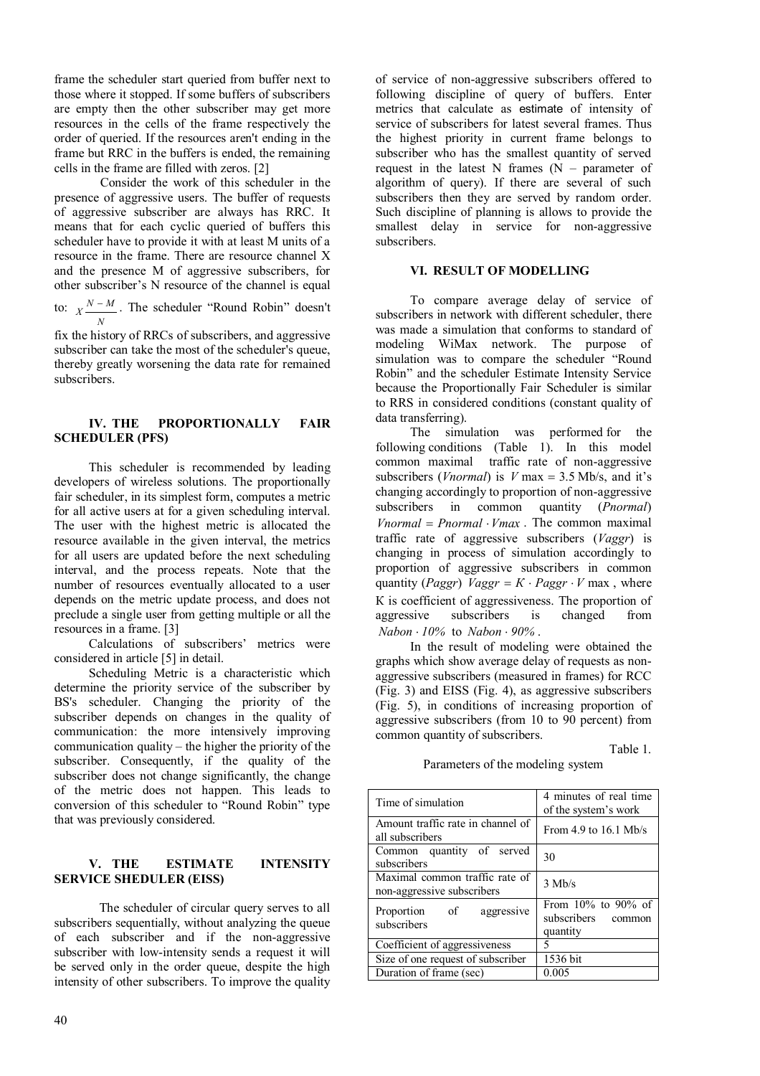frame the scheduler start queried from buffer next to those where it stopped. If some buffers of subscribers are empty then the other subscriber may get more resources in the cells of the frame respectively the order of queried. If the resources aren't ending in the frame but RRC in the buffers is ended, the remaining cells in the frame are filled with zeros. [2]

Consider the work of this scheduler in the presence of aggressive users. The buffer of requests of aggressive subscriber are always has RRC. It means that for each cyclic queried of buffers this scheduler have to provide it with at least M units of a resource in the frame. There are resource channel X and the presence M of aggressive subscribers, for other subscriber's N resource of the channel is equal

to:  $X \xrightarrow{N-M}$ *N*  $-M$ . The scheduler "Round Robin" doesn't

fix the history of RRCs of subscribers, and aggressive subscriber can take the most of the scheduler's queue, thereby greatly worsening the data rate for remained subscribers.

## **IV. THE PROPORTIONALLY FAIR SCHEDULER (PFS)**

This scheduler is recommended by leading developers of wireless solutions. The proportionally fair scheduler, in its simplest form, computes a metric for all active users at for a given scheduling interval. The user with the highest metric is allocated the resource available in the given interval, the metrics for all users are updated before the next scheduling interval, and the process repeats. Note that the number of resources eventually allocated to a user depends on the metric update process, and does not preclude a single user from getting multiple or all the resources in a frame. [3]

Calculations of subscribers' metrics were considered in article [5] in detail.

Scheduling Metric is a characteristic which determine the priority service of the subscriber by BS's scheduler. Changing the priority of the subscriber depends on changes in the quality of communication: the more intensively improving communication quality – the higher the priority of the subscriber. Consequently, if the quality of the subscriber does not change significantly, the change of the metric does not happen. This leads to conversion of this scheduler to "Round Robin" type that was previously considered.

## **V. THE ESTIMATE INTENSITY SERVICE SHEDULER (EISS)**

The scheduler of circular query serves to all subscribers sequentially, without analyzing the queue of each subscriber and if the non-aggressive subscriber with low-intensity sends a request it will be served only in the order queue, despite the high intensity of other subscribers. To improve the quality

of service of non-aggressive subscribers offered to following discipline of query of buffers. Enter metrics that calculate as estimate of intensity of service of subscribers for latest several frames. Thus the highest priority in current frame belongs to subscriber who has the smallest quantity of served request in the latest N frames  $(N -$  parameter of algorithm of query). If there are several of such subscribers then they are served by random order. Such discipline of planning is allows to provide the smallest delay in service for non-aggressive subscribers.

## **VI. RESULT OF MODELLING**

To compare average delay of service of subscribers in network with different scheduler, there was made a simulation that conforms to standard of modeling WiMax network. The purpose of simulation was to compare the scheduler "Round Robin" and the scheduler Estimate Intensity Service because the Proportionally Fair Scheduler is similar to RRS in considered conditions (constant quality of data transferring).

The simulation was performed for the following conditions (Table 1). In this model common maximal traffic rate of non-aggressive subscribers (*Vnormal*) is *V* max = 3.5 Mb/s, and it's changing accordingly to proportion of non-aggressive subscribers in common quantity (*Pnormal*) *Vnormal = Pnormal · Vmax* . The common maximal traffic rate of aggressive subscribers (*Vaggr*) is changing in process of simulation accordingly to proportion of aggressive subscribers in common quantity (*Paggr*) *Vaggr* =  $K \cdot$  *Paggr*  $\cdot$  *V* max, where К is coefficient of aggressiveness. The proportion of aggressive subscribers is changed from  $Nabon \cdot 10\%$  to  $Nabon \cdot 90\%$ .

In the result of modeling were obtained the graphs which show average delay of requests as nonaggressive subscribers (measured in frames) for RCC (Fig. 3) and EISS (Fig. 4), as aggressive subscribers (Fig. 5), in conditions of increasing proportion of aggressive subscribers (from 10 to 90 percent) from common quantity of subscribers.

Table 1.

Parameters of the modeling system

| Time of simulation                                           | 4 minutes of real time<br>of the system's work                |
|--------------------------------------------------------------|---------------------------------------------------------------|
| Amount traffic rate in channel of<br>all subscribers         | From $4.9$ to $16.1$ Mb/s                                     |
| Common quantity of served<br>subscribers                     | 30                                                            |
| Maximal common traffic rate of<br>non-aggressive subscribers | $3$ Mb/s                                                      |
| Proportion of<br>aggressive<br>subscribers                   | From $10\%$ to $90\%$ of<br>subscribers<br>common<br>quantity |
| Coefficient of aggressiveness                                | 5                                                             |
| Size of one request of subscriber                            | 1536 bit                                                      |
| Duration of frame (sec)                                      | 0.005                                                         |